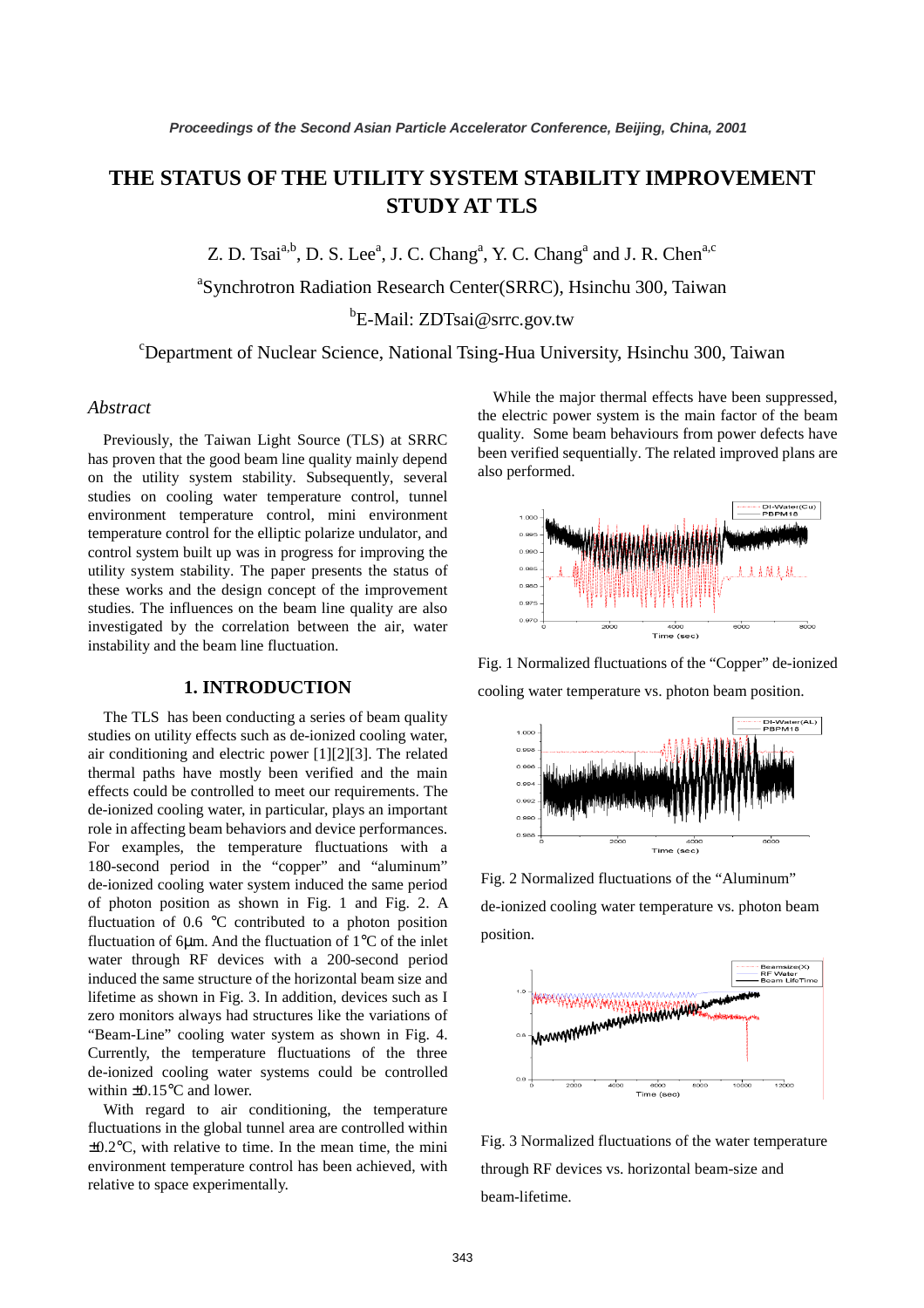# **THE STATUS OF THE UTILITY SYSTEM STABILITY IMPROVEMENT STUDY AT TLS**

Z. D. Tsai<sup>a,b</sup>, D. S. Lee<sup>a</sup>, J. C. Chang<sup>a</sup>, Y. C. Chang<sup>a</sup> and J. R. Chen<sup>a,c</sup>

a Synchrotron Radiation Research Center(SRRC), Hsinchu 300, Taiwan

<sup>b</sup>E-Mail: ZDTsai@srrc.gov.tw

c Department of Nuclear Science, National Tsing-Hua University, Hsinchu 300, Taiwan

#### *Abstract*

Previously, the Taiwan Light Source (TLS) at SRRC has proven that the good beam line quality mainly depend on the utility system stability. Subsequently, several studies on cooling water temperature control, tunnel environment temperature control, mini environment temperature control for the elliptic polarize undulator, and control system built up was in progress for improving the utility system stability. The paper presents the status of these works and the design concept of the improvement studies. The influences on the beam line quality are also investigated by the correlation between the air, water instability and the beam line fluctuation.

#### **1. INTRODUCTION**

The TLS has been conducting a series of beam quality studies on utility effects such as de-ionized cooling water, air conditioning and electric power [1][2][3]. The related thermal paths have mostly been verified and the main effects could be controlled to meet our requirements. The de-ionized cooling water, in particular, plays an important role in affecting beam behaviors and device performances. For examples, the temperature fluctuations with a 180-second period in the "copper" and "aluminum" de-ionized cooling water system induced the same period of photon position as shown in Fig. 1 and Fig. 2. A fluctuation of 0.6 °C contributed to a photon position fluctuation of 6µm. And the fluctuation of 1°C of the inlet water through RF devices with a 200-second period induced the same structure of the horizontal beam size and lifetime as shown in Fig. 3. In addition, devices such as I zero monitors always had structures like the variations of "Beam-Line" cooling water system as shown in Fig. 4. Currently, the temperature fluctuations of the three de-ionized cooling water systems could be controlled within ±0.15°C and lower.

With regard to air conditioning, the temperature fluctuations in the global tunnel area are controlled within  $\pm 0.2$ °C, with relative to time. In the mean time, the mini environment temperature control has been achieved, with relative to space experimentally.

While the major thermal effects have been suppressed, the electric power system is the main factor of the beam quality. Some beam behaviours from power defects have been verified sequentially. The related improved plans are also performed.



Fig. 1 Normalized fluctuations of the "Copper" de-ionized cooling water temperature vs. photon beam position.



Fig. 2 Normalized fluctuations of the "Aluminum" de-ionized cooling water temperature vs. photon beam position.



Fig. 3 Normalized fluctuations of the water temperature through RF devices vs. horizontal beam-size and beam-lifetime.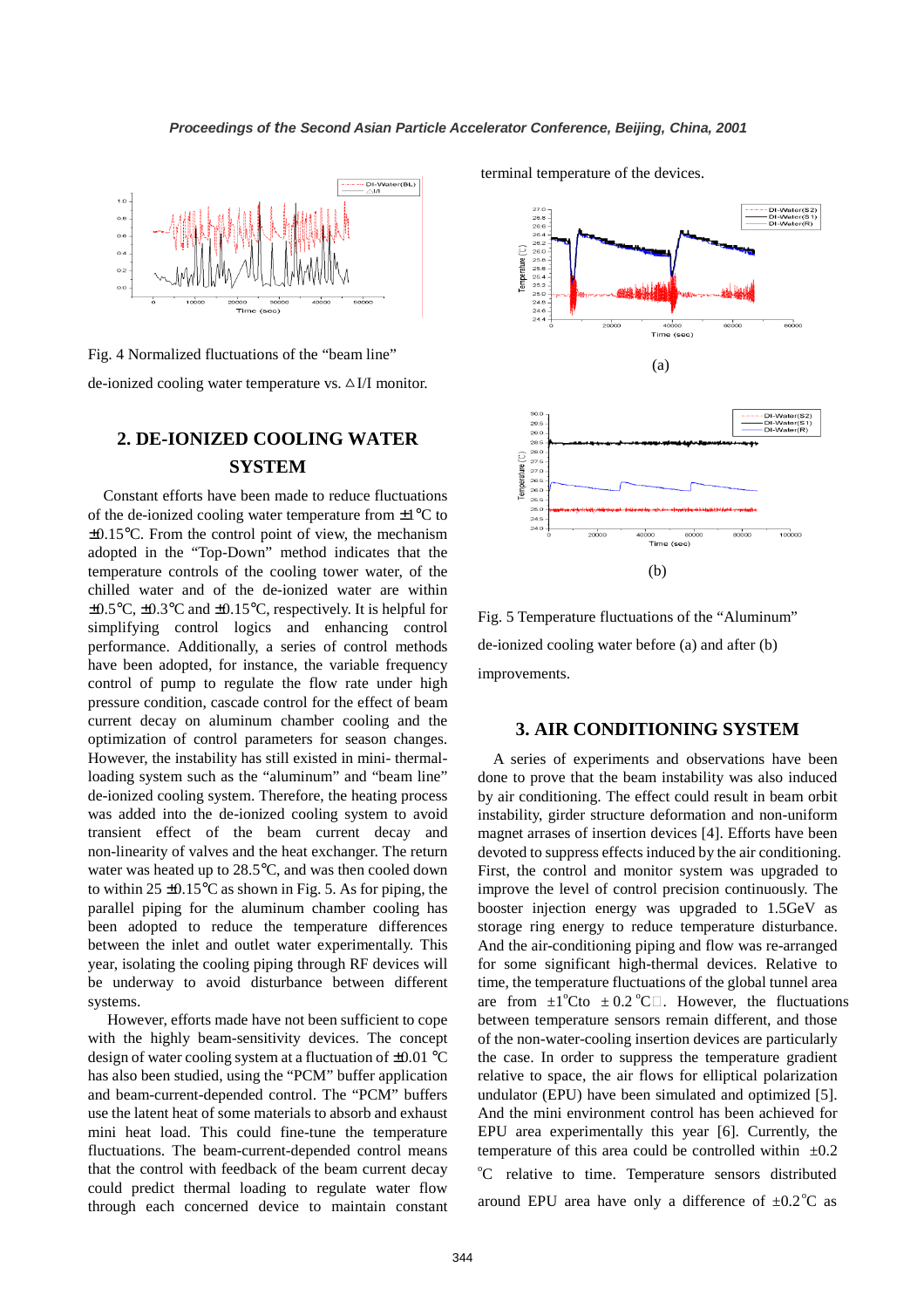

Fig. 4 Normalized fluctuations of the "beam line"

de-ionized cooling water temperature vs.  $\Delta I/I$  monitor.

# **2. DE-IONIZED COOLING WATER SYSTEM**

Constant efforts have been made to reduce fluctuations of the de-ionized cooling water temperature from  $\pm 1^{\circ}$ C to ±0.15°C. From the control point of view, the mechanism adopted in the "Top-Down" method indicates that the temperature controls of the cooling tower water, of the chilled water and of the de-ionized water are within ±0.5°C, ±0.3°C and ±0.15°C, respectively. It is helpful for simplifying control logics and enhancing control performance. Additionally, a series of control methods have been adopted, for instance, the variable frequency control of pump to regulate the flow rate under high pressure condition, cascade control for the effect of beam current decay on aluminum chamber cooling and the optimization of control parameters for season changes. However, the instability has still existed in mini- thermalloading system such as the "aluminum" and "beam line" de-ionized cooling system. Therefore, the heating process was added into the de-ionized cooling system to avoid transient effect of the beam current decay and non-linearity of valves and the heat exchanger. The return water was heated up to 28.5°C, and was then cooled down to within  $25 \pm 0.15^{\circ}$ C as shown in Fig. 5. As for piping, the parallel piping for the aluminum chamber cooling has been adopted to reduce the temperature differences between the inlet and outlet water experimentally. This year, isolating the cooling piping through RF devices will be underway to avoid disturbance between different systems.

 However, efforts made have not been sufficient to cope with the highly beam-sensitivity devices. The concept design of water cooling system at a fluctuation of ±0.01 °C has also been studied, using the "PCM" buffer application and beam-current-depended control. The "PCM" buffers use the latent heat of some materials to absorb and exhaust mini heat load. This could fine-tune the temperature fluctuations. The beam-current-depended control means that the control with feedback of the beam current decay could predict thermal loading to regulate water flow through each concerned device to maintain constant terminal temperature of the devices.



Fig. 5 Temperature fluctuations of the "Aluminum" de-ionized cooling water before (a) and after (b) improvements.

#### **3. AIR CONDITIONING SYSTEM**

A series of experiments and observations have been done to prove that the beam instability was also induced by air conditioning. The effect could result in beam orbit instability, girder structure deformation and non-uniform magnet arrases of insertion devices [4]. Efforts have been devoted to suppress effects induced by the air conditioning. First, the control and monitor system was upgraded to improve the level of control precision continuously. The booster injection energy was upgraded to 1.5GeV as storage ring energy to reduce temperature disturbance. And the air-conditioning piping and flow was re-arranged for some significant high-thermal devices. Relative to time, the temperature fluctuations of the global tunnel area are from  $\pm 1^{\circ}$ C to  $\pm 0.2^{\circ}$ C . However, the fluctuations between temperature sensors remain different, and those of the non-water-cooling insertion devices are particularly the case. In order to suppress the temperature gradient relative to space, the air flows for elliptical polarization undulator (EPU) have been simulated and optimized [5]. And the mini environment control has been achieved for EPU area experimentally this year [6]. Currently, the temperature of this area could be controlled within  $\pm 0.2$ <sup>o</sup>C relative to time. Temperature sensors distributed around EPU area have only a difference of  $\pm 0.2^{\circ}$ C as